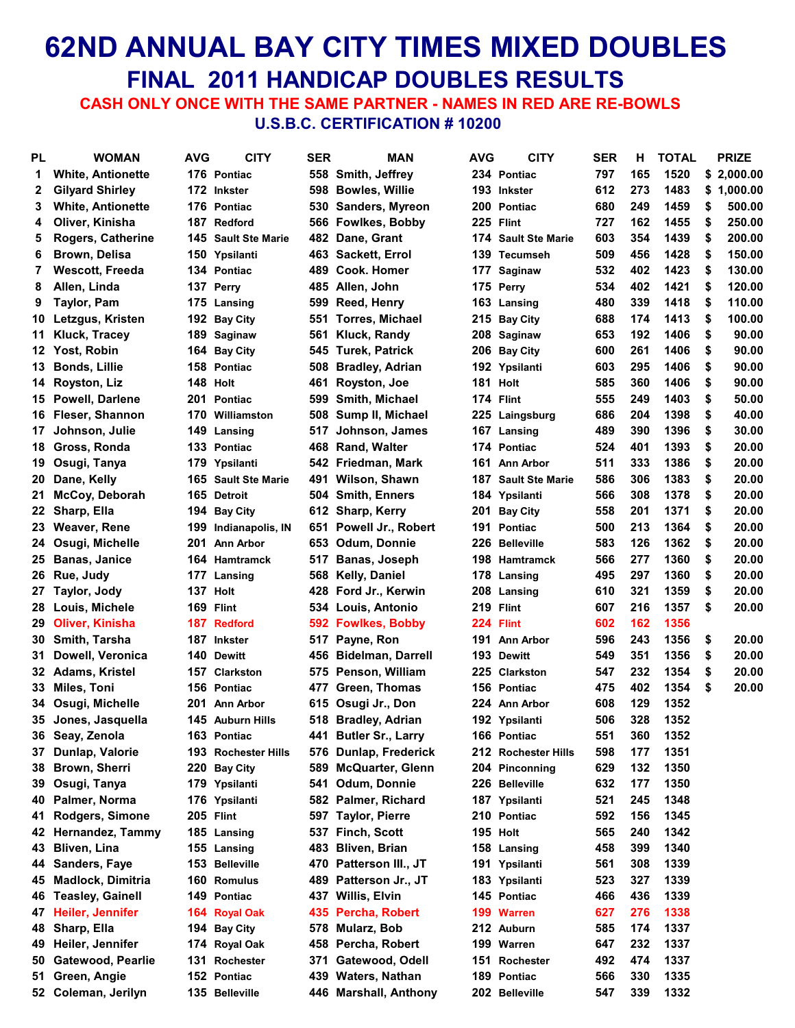### **62ND ANNUAL BAY CITY TIMES MIXED DOUBLES FINAL 2011 HANDICAP DOUBLES RESULTS**

 **CASH ONLY ONCE WITH THE SAME PARTNER - NAMES IN RED ARE RE-BOWLS U.S.B.C. CERTIFICATION # 10200**

| PL | <b>WOMAN</b>             | AVG | <b>CITY</b>                     | <b>SER</b> | MAN                       | <b>AVG</b> | <b>CITY</b>                | SER | н   | TOTAL | <b>PRIZE</b> |
|----|--------------------------|-----|---------------------------------|------------|---------------------------|------------|----------------------------|-----|-----|-------|--------------|
| 1  | <b>White, Antionette</b> |     | 176 Pontiac                     |            | 558 Smith, Jeffrey        |            | 234 Pontiac                | 797 | 165 | 1520  | \$2,000.00   |
| 2  | <b>Gilyard Shirley</b>   |     | 172 Inkster                     | 598        | <b>Bowles, Willie</b>     |            | 193 Inkster                | 612 | 273 | 1483  | \$1,000.00   |
| 3  | <b>White, Antionette</b> |     | 176 Pontiac                     |            | 530 Sanders, Myreon       |            | 200 Pontiac                | 680 | 249 | 1459  | \$<br>500.00 |
| 4  | Oliver, Kinisha          |     | 187 Redford                     |            | 566 Fowlkes, Bobby        |            | 225 Flint                  | 727 | 162 | 1455  | \$<br>250.00 |
| 5  | <b>Rogers, Catherine</b> |     | <b>145 Sault Ste Marie</b>      |            | 482 Dane, Grant           |            | <b>174 Sault Ste Marie</b> | 603 | 354 | 1439  | \$<br>200.00 |
| 6  | <b>Brown, Delisa</b>     |     | 150 Ypsilanti                   |            | 463 Sackett, Errol        |            | 139 Tecumseh               | 509 | 456 | 1428  | \$<br>150.00 |
| 7  | Wescott, Freeda          |     | 134 Pontiac                     | 489.       | <b>Cook. Homer</b>        |            | 177 Saginaw                | 532 | 402 | 1423  | \$<br>130.00 |
| 8  | Allen, Linda             |     | 137 Perrv                       |            | 485 Allen, John           |            | 175 Perry                  | 534 | 402 | 1421  | \$<br>120.00 |
| 9  | <b>Taylor, Pam</b>       |     | 175 Lansing                     | 599        | <b>Reed, Henry</b>        |            | 163 Lansing                | 480 | 339 | 1418  | \$<br>110.00 |
|    | 10 Letzgus, Kristen      |     | 192 Bay City                    | 551        | <b>Torres, Michael</b>    |            | 215 Bay City               | 688 | 174 | 1413  | \$<br>100.00 |
|    | 11 Kluck, Tracey         |     | 189 Saginaw                     |            | 561 Kluck, Randy          |            | 208 Saginaw                | 653 | 192 | 1406  | \$<br>90.00  |
|    | 12 Yost, Robin           |     | 164 Bay City                    | 545        | <b>Turek, Patrick</b>     |            | 206 Bay City               | 600 | 261 | 1406  | \$<br>90.00  |
|    | 13 Bonds, Lillie         |     | 158 Pontiac                     | 508        | <b>Bradley, Adrian</b>    |            | 192 Ypsilanti              | 603 | 295 | 1406  | \$<br>90.00  |
|    | 14 Royston, Liz          |     | 148 Holt                        | 461        | Royston, Joe              |            | 181 Holt                   | 585 | 360 | 1406  | \$<br>90.00  |
|    | 15 Powell, Darlene       |     | 201 Pontiac                     | 599        | <b>Smith, Michael</b>     |            | 174 Flint                  | 555 | 249 | 1403  | \$<br>50.00  |
|    | 16 Fleser, Shannon       |     | 170 Williamston                 | 508        | Sump II, Michael          |            | 225 Laingsburg             | 686 | 204 | 1398  | \$<br>40.00  |
|    | 17 Johnson, Julie        |     | 149 Lansing                     | 517        | Johnson, James            |            | 167 Lansing                | 489 | 390 | 1396  | \$<br>30.00  |
|    | 18 Gross, Ronda          |     | 133 Pontiac                     |            | 468 Rand, Walter          |            | 174 Pontiac                | 524 | 401 | 1393  | \$<br>20.00  |
|    | 19 Osugi, Tanya          |     | 179 Ypsilanti                   |            | 542 Friedman, Mark        |            | 161 Ann Arbor              | 511 | 333 | 1386  | \$<br>20.00  |
|    | 20 Dane, Kelly           |     | 165 Sault Ste Marie             | 491        | Wilson, Shawn             |            | <b>187 Sault Ste Marie</b> | 586 | 306 | 1383  | \$<br>20.00  |
| 21 | McCoy, Deborah           |     | 165 Detroit                     | 504        | <b>Smith, Enners</b>      |            | 184 Ypsilanti              | 566 | 308 | 1378  | \$<br>20.00  |
|    | 22 Sharp, Ella           |     | 194 Bay City                    |            | 612 Sharp, Kerry          |            | 201 Bay City               | 558 | 201 | 1371  | \$<br>20.00  |
|    | 23 Weaver, Rene          |     | 199 Indianapolis, IN            | 651        | <b>Powell Jr., Robert</b> |            | 191 Pontiac                | 500 | 213 | 1364  | \$<br>20.00  |
|    | 24 Osugi, Michelle       |     | 201 Ann Arbor                   |            | 653 Odum, Donnie          |            | 226 Belleville             | 583 | 126 | 1362  | \$<br>20.00  |
|    | 25 Banas, Janice         |     | 164 Hamtramck                   | 517        | <b>Banas, Joseph</b>      |            | 198 Hamtramck              | 566 | 277 | 1360  | \$<br>20.00  |
|    | 26 Rue, Judy             |     | 177 Lansing                     |            | 568 Kelly, Daniel         |            | 178 Lansing                | 495 | 297 | 1360  | \$<br>20.00  |
|    | 27 Taylor, Jody          |     | 137 Holt                        |            | 428 Ford Jr., Kerwin      |            | 208 Lansing                | 610 | 321 | 1359  | \$<br>20.00  |
|    | 28 Louis, Michele        |     | 169 Flint                       |            | 534 Louis, Antonio        |            | 219 Flint                  | 607 | 216 | 1357  | \$<br>20.00  |
|    | 29 Oliver, Kinisha       |     | 187 Redford                     |            | 592 Fowlkes, Bobby        |            | 224 Flint                  | 602 | 162 | 1356  |              |
|    | 30 Smith, Tarsha         |     | 187 Inkster                     | 517        | Payne, Ron                |            | 191 Ann Arbor              | 596 | 243 | 1356  | \$<br>20.00  |
| 31 | Dowell, Veronica         |     | 140 Dewitt                      |            | 456 Bidelman, Darrell     |            | 193 Dewitt                 | 549 | 351 | 1356  | \$<br>20.00  |
|    | 32 Adams, Kristel        |     | 157 Clarkston                   |            | 575 Penson, William       |            | 225 Clarkston              | 547 | 232 | 1354  | \$<br>20.00  |
|    | 33 Miles, Toni           |     | 156 Pontiac                     | 477        | Green, Thomas             |            | 156 Pontiac                | 475 | 402 | 1354  | \$<br>20.00  |
|    | 34 Osugi, Michelle       |     | 201 Ann Arbor                   |            | 615 Osugi Jr., Don        |            | 224 Ann Arbor              | 608 | 129 | 1352  |              |
|    |                          |     |                                 |            |                           |            |                            | 506 | 328 | 1352  |              |
|    | 35 Jones, Jasquella      |     | 145 Auburn Hills<br>163 Pontiac |            | 518 Bradley, Adrian       |            | 192 Ypsilanti              |     |     |       |              |
|    | 36 Seay, Zenola          |     |                                 |            | 441 Butler Sr., Larry     |            | 166 Pontiac                | 551 | 360 | 1352  |              |
|    | 37 Dunlap, Valorie       |     | 193 Rochester Hills             |            | 576 Dunlap, Frederick     |            | 212 Rochester Hills        | 598 | 177 | 1351  |              |
|    | 38 Brown, Sherri         |     | 220 Bay City                    | 589        | <b>McQuarter, Glenn</b>   |            | 204 Pinconning             | 629 | 132 | 1350  |              |
|    | 39 Osugi, Tanya          |     | 179 Ypsilanti                   | 541        | Odum, Donnie              |            | 226 Belleville             | 632 | 177 | 1350  |              |
|    | 40 Palmer, Norma         |     | 176 Ypsilanti                   |            | 582 Palmer, Richard       |            | 187 Ypsilanti              | 521 | 245 | 1348  |              |
| 41 | Rodgers, Simone          |     | 205 Flint                       | 597        | <b>Taylor, Pierre</b>     |            | 210 Pontiac                | 592 | 156 | 1345  |              |
|    | 42 Hernandez, Tammy      |     | 185 Lansing                     | 537.       | <b>Finch, Scott</b>       |            | 195 Holt                   | 565 | 240 | 1342  |              |
| 43 | <b>Bliven, Lina</b>      |     | 155 Lansing                     | 483        | <b>Bliven, Brian</b>      |            | 158 Lansing                | 458 | 399 | 1340  |              |
|    | 44 Sanders, Faye         |     | 153 Belleville                  |            | 470 Patterson III., JT    |            | 191 Ypsilanti              | 561 | 308 | 1339  |              |
|    | 45 Madlock, Dimitria     |     | 160 Romulus                     |            | 489 Patterson Jr., JT     |            | 183 Ypsilanti              | 523 | 327 | 1339  |              |
|    | 46 Teasley, Gainell      |     | 149 Pontiac                     |            | 437 Willis, Elvin         |            | 145 Pontiac                | 466 | 436 | 1339  |              |
| 47 | Heiler, Jennifer         |     | 164 Royal Oak                   |            | 435 Percha, Robert        |            | 199 Warren                 | 627 | 276 | 1338  |              |
|    | 48 Sharp, Ella           |     | 194 Bay City                    | 578        | Mularz, Bob               |            | 212 Auburn                 | 585 | 174 | 1337  |              |
|    | 49 Heiler, Jennifer      |     | 174 Royal Oak                   |            | 458 Percha, Robert        |            | 199 Warren                 | 647 | 232 | 1337  |              |
|    | 50 Gatewood, Pearlie     |     | 131 Rochester                   |            | 371 Gatewood, Odell       |            | 151 Rochester              | 492 | 474 | 1337  |              |
|    | 51 Green, Angie          |     | 152 Pontiac                     |            | 439 Waters, Nathan        |            | 189 Pontiac                | 566 | 330 | 1335  |              |
|    | 52 Coleman, Jerilyn      |     | 135 Belleville                  |            | 446 Marshall, Anthony     |            | 202 Belleville             | 547 | 339 | 1332  |              |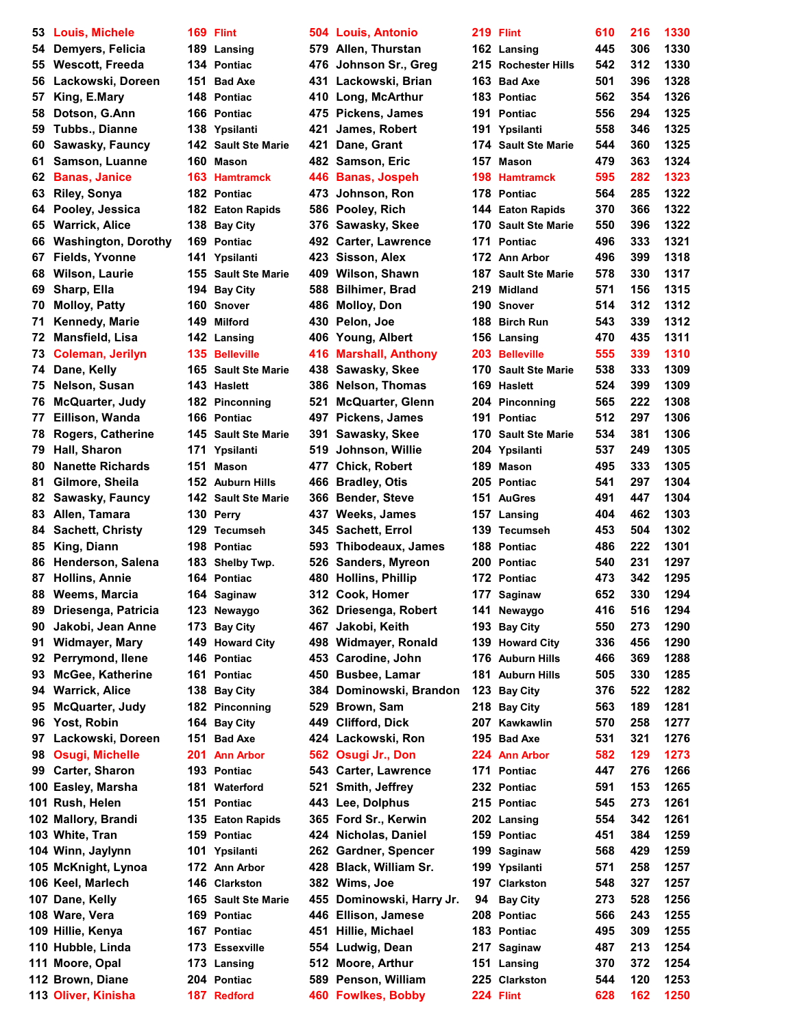**Louis, Michele 169 Flint 504 Louis, Antonio 219 Flint 610 216 1330 Demyers, Felicia 189 Lansing 579 Allen, Thurstan 162 Lansing 445 306 1330 Lackowski, Doreen 151 Bad Axe 431 Lackowski, Brian 163 Bad Axe 501 396 1328 King, E.Mary 148 Pontiac 410 Long, McArthur 183 Pontiac 562 354 1326 Dotson, G.Ann 166 Pontiac 475 Pickens, James 191 Pontiac 556 294 1325 Tubbs., Dianne 138 Ypsilanti 421 James, Robert 191 Ypsilanti 558 346 1325 Sawasky, Fauncy 142 Sault Ste Marie 421 Dane, Grant 174 Sault Ste Marie 544 360 1325 Samson, Luanne 160 Mason 482 Samson, Eric 157 Mason 479 363 1324 Banas, Janice 163 Hamtramck 446 Banas, Jospeh 198 Hamtramck 595 282 1323 Riley, Sonya 182 Pontiac 473 Johnson, Ron 178 Pontiac 564 285 1322 Pooley, Jessica 182 Eaton Rapids 586 Pooley, Rich 144 Eaton Rapids 370 366 1322 Warrick, Alice 138 Bay City 376 Sawasky, Skee 170 Sault Ste Marie 550 396 1322 Washington, Dorothy 169 Pontiac 492 Carter, Lawrence 171 Pontiac 496 333 1321 Fields, Yvonne 141 Ypsilanti 423 Sisson, Alex 172 Ann Arbor 496 399 1318 Wilson, Laurie 155 Sault Ste Marie 409 Wilson, Shawn 187 Sault Ste Marie 578 330 1317 Sharp, Ella 194 Bay City 588 Bilhimer, Brad 219 Midland 571 156 1315 Molloy, Patty 160 Snover 486 Molloy, Don 190 Snover 514 312 1312 Kennedy, Marie 149 Milford 430 Pelon, Joe 188 Birch Run 543 339 1312 Mansfield, Lisa 142 Lansing 406 Young, Albert 156 Lansing 470 435 1311 Dane, Kelly 165 Sault Ste Marie 438 Sawasky, Skee 170 Sault Ste Marie 538 333 1309 Nelson, Susan 143 Haslett 386 Nelson, Thomas 169 Haslett 524 399 1309 Eillison, Wanda 166 Pontiac 497 Pickens, James 191 Pontiac 512 297 1306 Rogers, Catherine 145 Sault Ste Marie 391 Sawasky, Skee 170 Sault Ste Marie 534 381 1306 Nanette Richards 151 Mason 477 Chick, Robert Gilmore, Sheila 152 Auburn Hills 466 Bradley, Otis 205 Pontiac 541 297 1304 Sawasky, Fauncy 142 Sault Ste Marie 366 Bender, Steve 151 AuGres 491 447 1304 Allen, Tamara 130 Perry 437 Weeks, James 157 Lansing 404 462 1303 Sachett, Christy 129 Tecumseh 345 Sachett, Errol 139 Tecumseh 453 504 1302 Henderson, Salena 183 Shelby Twp. 526 Sanders, Myreon 200 Pontiac 540 231 1297 Hollins, Annie 164 Pontiac 480 Hollins, Phillip 172 Pontiac 473 342 1295 Weems, Marcia 164 Saginaw 312 Cook, Homer 177 Saginaw 652 330 1294 Driesenga, Patricia 123 Newaygo 362 Driesenga, Robert 141 Newaygo 416 516 1294 Jakobi, Jean Anne 173 Bay City 467 Jakobi, Keith 193 Bay City 550 273 1290 Widmayer, Mary 149 Howard City 498 Widmayer, Ronald 139 Howard City 336 456 1290 Perrymond, Ilene 146 Pontiac 453 Carodine, John 176 Auburn Hills 466 369 1288 McGee, Katherine 161 Pontiac 450 Busbee, Lamar 181 Auburn Hills 505 330 1285 McQuarter, Judy 182 Pinconning 529 Brown, Sam 218 Bay City 563 189 1281 Lackowski, Doreen 151 Bad Axe 424 Lackowski, Ron 195 Bad Axe 531 321 1276 Osugi, Michelle 201 Ann Arbor 562 Osugi Jr., Don 224 Ann Arbor 582 129 1273 Carter, Sharon 193 Pontiac 543 Carter, Lawrence 171 Pontiac 447 276 1266 Easley, Marsha 181 Waterford 521 Smith, Jeffrey 232 Pontiac 591 153 1265 White, Tran 159 Pontiac 424 Nicholas, Daniel 159 Pontiac 451 384 1259 Winn, Jaylynn 101 Ypsilanti 262 Gardner, Spencer 199 Saginaw 568 429 1259 McKnight, Lynoa 172 Ann Arbor 428 Black, William Sr. 199 Ypsilanti 571 258 1257 Keel, Marlech 146 Clarkston 382 Wims, Joe 197 Clarkston 548 327 1257 Hillie, Kenya 167 Pontiac 451 Hillie, Michael 183 Pontiac 495 309 1255 Moore, Opal 173 Lansing 512 Moore, Arthur 151 Lansing 370 372 1254 Brown, Diane 204 Pontiac 589 Penson, William 225 Clarkston 544 120 1253 Oliver, Kinisha 187 Redford 460 Fowlkes, Bobby 224 Flint 628 162 1250**

# **Wescott, Freeda 134 Pontiac 476 Johnson Sr., Greg 215 Rochester Hills 542 312 1330 Coleman, Jerilyn 135 Belleville 416 Marshall, Anthony 203 Belleville 555 339 1310 McQuarter, Judy 182 Pinconning 521 McQuarter, Glenn 204 Pinconning 565 222 1308 Hall, Sharon 171 Ypsilanti 519 Johnson, Willie 204 Ypsilanti 537 249 1305 King, Diann 198 Pontiac 593 Thibodeaux, James 188 Pontiac 486 222 1301 Warrick, Alice 138 Bay City 384 Dominowski, Brandon 123 Bay City 376 522 1282 Yost, Robin 164 Bay City 449 Clifford, Dick 207 Kawkawlin 570 258 1277 Rush, Helen 151 Pontiac 443 Lee, Dolphus 215 Pontiac 545 273 1261 Mallory, Brandi 135 Eaton Rapids 365 Ford Sr., Kerwin 202 Lansing 554 342 1261 Dane, Kelly 165 Sault Ste Marie 455 Dominowski, Harry Jr. 94 Bay City 273 528 1256 Ware, Vera 169 Pontiac 446 Ellison, Jamese 208 Pontiac 566 243 1255 Hubble, Linda 173 Essexville 1554 Ludwig, Dean 2**

|     | 219 Flint              | 610 | 216 | 1330 |
|-----|------------------------|-----|-----|------|
|     | 162 Lansing            | 445 | 306 | 1330 |
|     | 215 Rochester Hills    | 542 | 312 | 1330 |
| 163 | <b>Bad Axe</b>         | 501 | 396 | 1328 |
| 183 | <b>Pontiac</b>         | 562 | 354 | 1326 |
| 191 | <b>Pontiac</b>         | 556 | 294 | 1325 |
| 191 | Ypsilanti              | 558 | 346 | 1325 |
| 174 | <b>Sault Ste Marie</b> | 544 | 360 | 1325 |
| 157 | <b>Mason</b>           | 479 | 363 | 1324 |
| 198 | <b>Hamtramck</b>       | 595 | 282 | 1323 |
| 178 | <b>Pontiac</b>         | 564 | 285 | 1322 |
|     | 144 Eaton Rapids       | 370 | 366 | 1322 |
| 170 | <b>Sault Ste Marie</b> | 550 | 396 | 1322 |
| 171 | <b>Pontiac</b>         | 496 | 333 | 1321 |
| 172 | <b>Ann Arbor</b>       | 496 | 399 | 1318 |
|     | 187 Sault Ste Marie    | 578 | 330 | 1317 |
|     | 219 Midland            | 571 | 156 | 1315 |
|     | 190 Snover             | 514 | 312 | 1312 |
|     | 188 Birch Run          | 543 | 339 | 1312 |
|     | 156 Lansing            | 470 | 435 | 1311 |
|     | 203 Belleville         | 555 | 339 | 1310 |
| 170 | <b>Sault Ste Marie</b> | 538 | 333 | 1309 |
| 169 | <b>Haslett</b>         | 524 | 399 | 1309 |
|     |                        |     |     |      |
|     | 204 Pinconning         | 565 | 222 | 1308 |
| 191 | <b>Pontiac</b>         | 512 | 297 | 1306 |
|     | 170 Sault Ste Marie    | 534 | 381 | 1306 |
| 204 | Ypsilanti              | 537 | 249 | 1305 |
| 189 | <b>Mason</b>           | 495 | 333 | 1305 |
| 205 | <b>Pontiac</b>         | 541 | 297 | 1304 |
| 151 | <b>AuGres</b>          | 491 | 447 | 1304 |
| 157 | Lansing                | 404 | 462 | 1303 |
| 139 | <b>Tecumseh</b>        | 453 | 504 | 1302 |
| 188 | <b>Pontiac</b>         | 486 | 222 | 1301 |
|     | 200 Pontiac            | 540 | 231 | 1297 |
|     | 172 Pontiac            | 473 | 342 | 1295 |
|     | 177 Saginaw            | 652 | 330 | 1294 |
|     | 141 Newaygo            | 416 | 516 | 1294 |
|     | 193 Bay City           | 550 | 273 | 1290 |
|     | 139 Howard City        | 336 | 456 | 1290 |
| 176 | <b>Auburn Hills</b>    | 466 | 369 | 1288 |
| 181 | <b>Auburn Hills</b>    | 505 | 330 | 1285 |
| 123 | <b>Bay City</b>        | 376 | 522 | 1282 |
| 218 | <b>Bay City</b>        | 563 | 189 | 1281 |
| 207 | Kawkawlin              | 570 | 258 | 1277 |
| 195 | <b>Bad Axe</b>         | 531 | 321 | 1276 |
| 224 | <b>Ann Arbor</b>       | 582 | 129 | 1273 |
| 171 | <b>Pontiac</b>         | 447 | 276 | 1266 |
| 232 | <b>Pontiac</b>         | 591 | 153 | 1265 |
| 215 | <b>Pontiac</b>         | 545 | 273 | 1261 |
| 202 | Lansing                | 554 | 342 | 1261 |
| 159 | <b>Pontiac</b>         | 451 | 384 | 1259 |
| 199 | Saginaw                | 568 | 429 | 1259 |
| 199 | Ypsilanti              | 571 | 258 | 1257 |
| 197 | <b>Clarkston</b>       | 548 | 327 | 1257 |
| 94  |                        | 273 | 528 | 1256 |
|     | <b>Bay City</b>        |     |     |      |
| 208 | <b>Pontiac</b>         | 566 | 243 | 1255 |
| 183 | Pontiac                | 495 | 309 | 1255 |
| 217 | Saginaw                | 487 | 213 | 1254 |
| 151 | Lansing                | 370 | 372 | 1254 |
| 225 | <b>Clarkston</b>       | 544 | 120 | 1253 |
|     | 224 Flint              | 628 | 162 | 1250 |
|     |                        |     |     |      |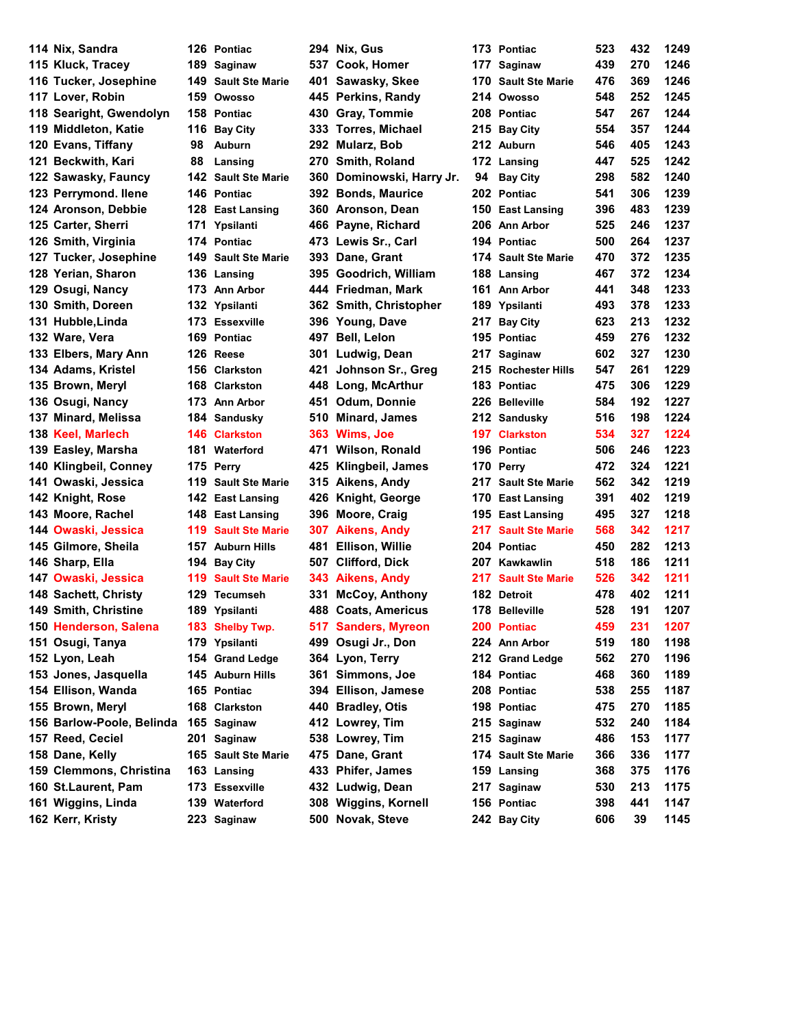**Nix, Sandra 126 Pontiac 294 Nix, Gus 173 Pontiac 523 432 1249 Kluck, Tracey 189 Saginaw 537 Cook, Homer 177 Saginaw 439 270 1246 Tucker, Josephine 149 Sault Ste Marie 401 Sawasky, Skee 170 Sault Ste Marie 476 369 1246 Lover, Robin 159 Owosso 445 Perkins, Randy 214 Owosso 548 252 1245 Searight, Gwendolyn 158 Pontiac 430 Gray, Tommie 208 Pontiac 547 267 1244 Middleton, Katie 116 Bay City 333 Torres, Michael 215 Bay City 554 357 1244 Evans, Tiffany 98 Auburn 292 Mularz, Bob 212 Auburn 546 405 1243 Beckwith, Kari 88 Lansing 270 Smith, Roland 172 Lansing 447 525 1242 122 Sawasky, Fauncy 142 Sault Ste Marie 360 Dominowski, Harry Jr. Perrymond. Ilene 146 Pontiac 392 Bonds, Maurice 202 Pontiac 541 306 1239 Aronson, Debbie 128 East Lansing 360 Aronson, Dean 150 East Lansing 396 483 1239 Carter, Sherri 171 Ypsilanti 466 Payne, Richard 206 Ann Arbor 525 246 1237 Smith, Virginia 174 Pontiac 473 Lewis Sr., Carl 194 Pontiac 500 264 1237 Tucker, Josephine 149 Sault Ste Marie 393 Dane, Grant 174 Sault Ste Marie 470 372 1235 Yerian, Sharon 136 Lansing 395 Goodrich, William 188 Lansing 467 372 1234 Osugi, Nancy 173 Ann Arbor 444 Friedman, Mark 161 Ann Arbor 441 348 1233 Smith, Doreen 132 Ypsilanti 362 Smith, Christopher 189 Ypsilanti 493 378 1233 Hubble,Linda 173 Essexville 396 Young, Dave 217 Bay City 623 213 1232 Ware, Vera 169 Pontiac 497 Bell, Lelon 195 Pontiac 459 276 1232 Elbers, Mary Ann 126 Reese 301 Ludwig, Dean 217 Saginaw 602 327 1230 134 Adams, Kristel 156 Clarkston 421 Johnson Sr., Greg 2 Brown, Meryl 168 Clarkston 448 Long, McArthur 183 Pontiac 475 306 1229 Osugi, Nancy 173 Ann Arbor 451 Odum, Donnie 226 Belleville 584 192 1227 Minard, Melissa 184 Sandusky 510 Minard, James 212 Sandusky 516 198 1224 Keel, Marlech 146 Clarkston 363 Wims, Joe 197 Clarkston 534 327 1224 Easley, Marsha 181 Waterford 471 Wilson, Ronald 196 Pontiac 506 246 1223 Klingbeil, Conney 175 Perry 425 Klingbeil, James 170 Perry 472 324 1221 Owaski, Jessica 119 Sault Ste Marie 315 Aikens, Andy 217 Sault Ste Marie 562 342 1219 Knight, Rose 142 East Lansing 426 Knight, George 170 East Lansing 391 402 1219 Moore, Rachel 148 East Lansing 396 Moore, Craig 195 East Lansing 495 327 1218 Owaski, Jessica 119 Sault Ste Marie 307 Aikens, Andy 217 Sault Ste Marie 568 342 1217 Gilmore, Sheila 157 Auburn Hills 481 Ellison, Willie 204 Pontiac 450 282 1213 Sharp, Ella 194 Bay City 507 Clifford, Dick 207 Kawkawlin 518 186 1211 Owaski, Jessica 119 Sault Ste Marie 343 Aikens, Andy 217 Sault Ste Marie 526 342 1211** Sachett, Christy **129** Tecumseh **1331** McCoy, Anthony 1 **Smith, Christine 189 Ypsilanti 488 Coats, Americus 178 Belleville 528 191 1207 Henderson, Salena 183 Shelby Twp. 517 Sanders, Myreon 200 Pontiac 459 231 1207 Osugi, Tanya 179 Ypsilanti 499 Osugi Jr., Don 224 Ann Arbor 519 180 1198 Lyon, Leah 154 Grand Ledge 364 Lyon, Terry 212 Grand Ledge 562 270 1196 Jones, Jasquella 145 Auburn Hills 361 Simmons, Joe 184 Pontiac 468 360 1189 Ellison, Wanda 165 Pontiac 394 Ellison, Jamese 208 Pontiac 538 255 1187 Brown, Meryl 168 Clarkston 440 Bradley, Otis 198 Pontiac 475 270 1185 Barlow-Poole, Belinda 165 Saginaw 412 Lowrey, Tim 215 Saginaw 532 240 1184 Reed, Ceciel 201 Saginaw 538 Lowrey, Tim 215 Saginaw 486 153 1177 Dane, Kelly 165 Sault Ste Marie 475 Dane, Grant 174 Sault Ste Marie 366 336 1177 Clemmons, Christina 163 Lansing 433 Phifer, James 159 Lansing 368 375 1176 St.Laurent, Pam 173 Essexville 432 Ludwig, Dean 217 Saginaw 530 213 1175 Wiggins, Linda 139 Waterford 308 Wiggins, Kornell 156 Pontiac 398 441 1147**

**Kerr, Kristy 223 Saginaw 500 Novak, Steve 242 Bay City 606 39 1145**

| 73                | <b>Pontiac</b>         | 523        | 432 | 1249 |
|-------------------|------------------------|------------|-----|------|
| 177               | Saginaw                | 439        | 270 | 1246 |
| 70                | <b>Sault Ste Marie</b> | 476        | 369 | 1246 |
| 214               | Owosso                 | 548        | 252 | 1245 |
|                   | <b>208 Pontiac</b>     | 547        | 267 | 1244 |
|                   | 15 Bay City            | 554        | 357 | 1244 |
|                   | 12 Auburn              | 546        | 405 | 1243 |
|                   | 72 Lansing             | 447        | 525 | 1242 |
| 94                | <b>Bay City</b>        | 298        | 582 | 1240 |
| 202               | <b>Pontiac</b>         | 541        | 306 | 1239 |
| 50                | <b>East Lansing</b>    | 396        | 483 | 1239 |
| 06'               | <b>Ann Arbor</b>       | 525        | 246 | 1237 |
| 94                | <b>Pontiac</b>         | 500        | 264 | 1237 |
| 74                | <b>Sault Ste Marie</b> | 470        | 372 | 1235 |
| 88                | Lansing                | 467        | 372 | 1234 |
| 61                | <b>Ann Arbor</b>       | 441        | 348 | 1233 |
| 89                | Ypsilanti              | 493        | 378 | 1233 |
| 217               | <b>Bay City</b>        | 623        | 213 | 1232 |
| 95                | <b>Pontiac</b>         | 459        | 276 | 1232 |
| 217               | Saginaw                | 602        | 327 | 1230 |
| 215               | <b>Rochester Hills</b> | 547        | 261 | 1229 |
| 83                | <b>Pontiac</b>         | 475        | 306 | 1229 |
|                   | 26 Belleville          | 584        | 192 | 1227 |
| 212               | <b>Sandusky</b>        | 516        | 198 | 1224 |
|                   | 97 Clarkston           | 534        | 327 | 1224 |
| 96                | <b>Pontiac</b>         | 506        | 246 | 1223 |
| 70                | Perry                  | 472        | 324 | 1221 |
| 217               | <b>Sault Ste Marie</b> | 562        | 342 | 1219 |
| 70                | <b>East Lansing</b>    | 391        | 402 | 1219 |
| 95                | <b>East Lansing</b>    | 495        | 327 | 1218 |
| 217               | <b>Sault Ste Marie</b> | 568        | 342 | 1217 |
| 204               | <b>Pontiac</b>         | 450        | 282 | 1213 |
|                   | 207 Kawkawlin          | 518        | 186 | 1211 |
| 217               | <b>Sault Ste Marie</b> | 526        | 342 | 1211 |
| 82                | <b>Detroit</b>         | 478        | 402 | 1211 |
| 78                | <b>Belleville</b>      | 528        | 191 | 1207 |
| 200               | <b>Pontiac</b>         | 459        | 231 | 1207 |
| 24                | <b>Ann Arbor</b>       | 519        | 180 | 1198 |
| :12               | <b>Grand Ledge</b>     | 562        | 270 | 1196 |
| 84                | <b>Pontiac</b>         | 468        | 360 | 1189 |
| 208               | <b>Pontiac</b>         | 538        | 255 | 1187 |
| 98                | Pontiac                | 475        | 270 | 1185 |
| !15               | Saginaw                | 532        | 240 | 1184 |
| !15               | Saginaw                | 486        | 153 | 1177 |
| 74                | <b>Sault Ste Marie</b> | 366        | 336 | 1177 |
| 59                | Lansing                | 368        | 375 | 1176 |
| !17               | Saginaw                | 530        | 213 | 1175 |
| 56                | <b>Pontiac</b>         | 398        | 441 | 1147 |
| $\boldsymbol{A2}$ | <b>Ray City</b>        | <b>ANA</b> | ٩O  | 1145 |